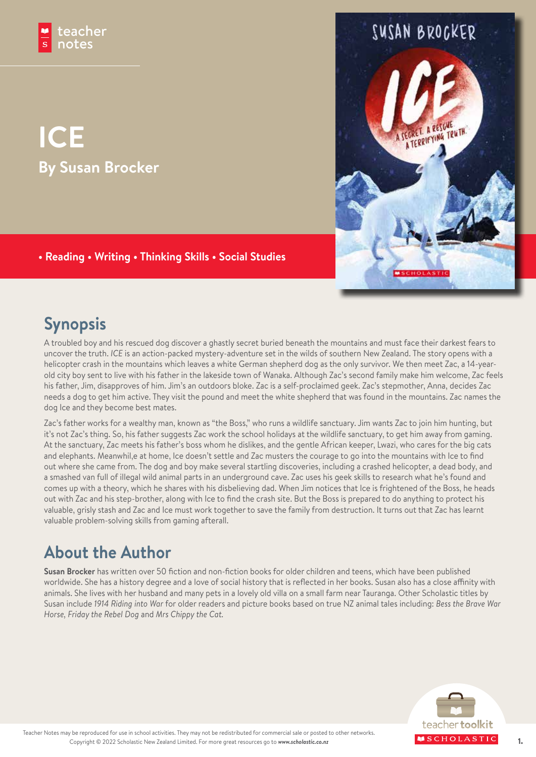# **ICE By Susan Brocker**

### **• Reading • Writing • Thinking Skills • Social Studies**

## **Synopsis**

A troubled boy and his rescued dog discover a ghastly secret buried beneath the mountains and must face their darkest fears to uncover the truth. *ICE* is an action-packed mystery-adventure set in the wilds of southern New Zealand. The story opens with a helicopter crash in the mountains which leaves a white German shepherd dog as the only survivor. We then meet Zac, a 14-yearold city boy sent to live with his father in the lakeside town of Wanaka. Although Zac's second family make him welcome, Zac feels his father, Jim, disapproves of him. Jim's an outdoors bloke. Zac is a self-proclaimed geek. Zac's stepmother, Anna, decides Zac needs a dog to get him active. They visit the pound and meet the white shepherd that was found in the mountains. Zac names the dog Ice and they become best mates.

Zac's father works for a wealthy man, known as "the Boss," who runs a wildlife sanctuary. Jim wants Zac to join him hunting, but it's not Zac's thing. So, his father suggests Zac work the school holidays at the wildlife sanctuary, to get him away from gaming. At the sanctuary, Zac meets his father's boss whom he dislikes, and the gentle African keeper, Lwazi, who cares for the big cats and elephants. Meanwhil,e at home, Ice doesn't settle and Zac musters the courage to go into the mountains with Ice to find out where she came from. The dog and boy make several startling discoveries, including a crashed helicopter, a dead body, and a smashed van full of illegal wild animal parts in an underground cave. Zac uses his geek skills to research what he's found and comes up with a theory, which he shares with his disbelieving dad. When Jim notices that Ice is frightened of the Boss, he heads out with Zac and his step-brother, along with Ice to find the crash site. But the Boss is prepared to do anything to protect his valuable, grisly stash and Zac and Ice must work together to save the family from destruction. It turns out that Zac has learnt valuable problem-solving skills from gaming afterall.

### **About the Author**

**Susan Brocker** has written over 50 fiction and non-fiction books for older children and teens, which have been published worldwide. She has a history degree and a love of social history that is reflected in her books. Susan also has a close affinity with animals. She lives with her husband and many pets in a lovely old villa on a small farm near Tauranga. Other Scholastic titles by Susan include *1914 Riding into War* for older readers and picture books based on true NZ animal tales including: *Bess the Brave War Horse, Friday the Rebel Dog* and *Mrs Chippy the Cat.*



SUSAN BROCKER

A RESCHE EGRET. A RESGUE.<br>A TERRIFYING TRUTH.

CHOLAS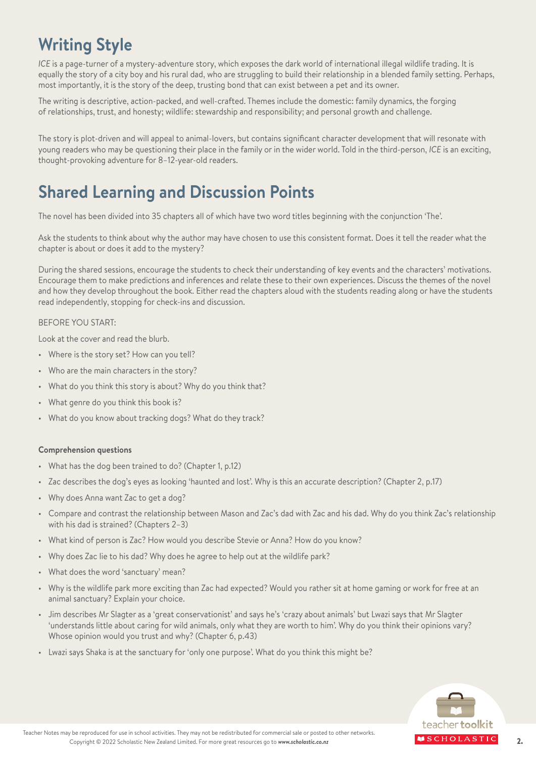### **Writing Style**

*ICE* is a page-turner of a mystery-adventure story, which exposes the dark world of international illegal wildlife trading. It is equally the story of a city boy and his rural dad, who are struggling to build their relationship in a blended family setting. Perhaps, most importantly, it is the story of the deep, trusting bond that can exist between a pet and its owner.

The writing is descriptive, action-packed, and well-crafted. Themes include the domestic: family dynamics, the forging of relationships, trust, and honesty; wildlife: stewardship and responsibility; and personal growth and challenge.

The story is plot-driven and will appeal to animal-lovers, but contains significant character development that will resonate with young readers who may be questioning their place in the family or in the wider world. Told in the third-person, *ICE* is an exciting, thought-provoking adventure for 8–12-year-old readers.

### **Shared Learning and Discussion Points**

The novel has been divided into 35 chapters all of which have two word titles beginning with the conjunction 'The'.

Ask the students to think about why the author may have chosen to use this consistent format. Does it tell the reader what the chapter is about or does it add to the mystery?

During the shared sessions, encourage the students to check their understanding of key events and the characters' motivations. Encourage them to make predictions and inferences and relate these to their own experiences. Discuss the themes of the novel and how they develop throughout the book. Either read the chapters aloud with the students reading along or have the students read independently, stopping for check-ins and discussion.

#### BEFORE YOU START:

Look at the cover and read the blurb.

- Where is the story set? How can you tell?
- Who are the main characters in the story?
- What do you think this story is about? Why do you think that?
- What genre do you think this book is?
- What do you know about tracking dogs? What do they track?

#### **Comprehension questions**

- What has the dog been trained to do? (Chapter 1, p.12)
- Zac describes the dog's eyes as looking 'haunted and lost'. Why is this an accurate description? (Chapter 2, p.17)
- Why does Anna want Zac to get a dog?
- Compare and contrast the relationship between Mason and Zac's dad with Zac and his dad. Why do you think Zac's relationship with his dad is strained? (Chapters 2–3)
- What kind of person is Zac? How would you describe Stevie or Anna? How do you know?
- Why does Zac lie to his dad? Why does he agree to help out at the wildlife park?
- What does the word 'sanctuary' mean?
- Why is the wildlife park more exciting than Zac had expected? Would you rather sit at home gaming or work for free at an animal sanctuary? Explain your choice.
- Jim describes Mr Slagter as a 'great conservationist' and says he's 'crazy about animals' but Lwazi says that Mr Slagter 'understands little about caring for wild animals, only what they are worth to him'. Why do you think their opinions vary? Whose opinion would you trust and why? (Chapter 6, p.43)
- Lwazi says Shaka is at the sanctuary for 'only one purpose'. What do you think this might be?

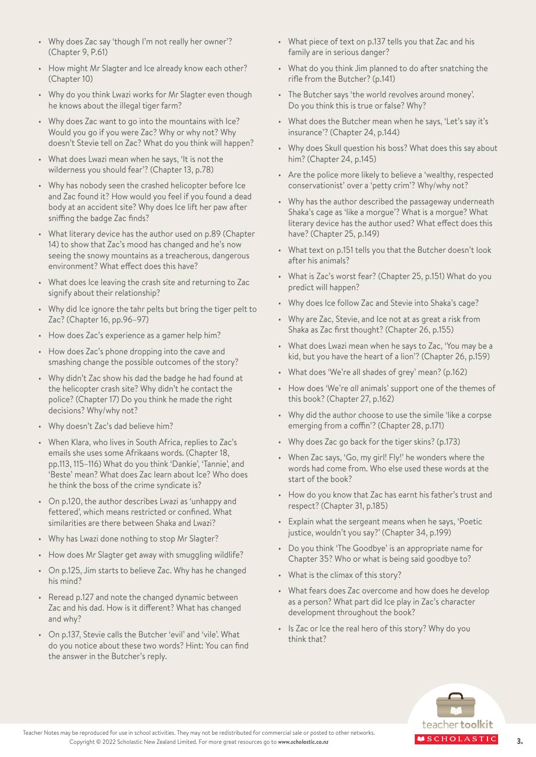- Why does Zac say 'though I'm not really her owner'? (Chapter 9, P.61)
- How might Mr Slagter and Ice already know each other? (Chapter 10)
- Why do you think Lwazi works for Mr Slagter even though he knows about the illegal tiger farm?
- Why does Zac want to go into the mountains with Ice? Would you go if you were Zac? Why or why not? Why doesn't Stevie tell on Zac? What do you think will happen?
- What does Lwazi mean when he says, 'It is not the wilderness you should fear'? (Chapter 13, p.78)
- Why has nobody seen the crashed helicopter before Ice and Zac found it? How would you feel if you found a dead body at an accident site? Why does Ice lift her paw after sniffing the badge Zac finds?
- What literary device has the author used on p.89 (Chapter 14) to show that Zac's mood has changed and he's now seeing the snowy mountains as a treacherous, dangerous environment? What effect does this have?
- What does Ice leaving the crash site and returning to Zac signify about their relationship?
- Why did Ice ignore the tahr pelts but bring the tiger pelt to Zac? (Chapter 16, pp.96–97)
- How does Zac's experience as a gamer help him?
- How does Zac's phone dropping into the cave and smashing change the possible outcomes of the story?
- Why didn't Zac show his dad the badge he had found at the helicopter crash site? Why didn't he contact the police? (Chapter 17) Do you think he made the right decisions? Why/why not?
- Why doesn't Zac's dad believe him?
- When Klara, who lives in South Africa, replies to Zac's emails she uses some Afrikaans words. (Chapter 18, pp.113, 115–116) What do you think 'Dankie', 'Tannie', and 'Beste' mean? What does Zac learn about Ice? Who does he think the boss of the crime syndicate is?
- On p.120, the author describes Lwazi as 'unhappy and fettered', which means restricted or confined. What similarities are there between Shaka and Lwazi?
- Why has Lwazi done nothing to stop Mr Slagter?
- How does Mr Slagter get away with smuggling wildlife?
- On p.125, Jim starts to believe Zac. Why has he changed his mind?
- Reread p.127 and note the changed dynamic between Zac and his dad. How is it different? What has changed and why?
- On p.137, Stevie calls the Butcher 'evil' and 'vile'. What do you notice about these two words? Hint: You can find the answer in the Butcher's reply.
- What piece of text on p.137 tells you that Zac and his family are in serious danger?
- What do you think Jim planned to do after snatching the rifle from the Butcher? (p.141)
- The Butcher says 'the world revolves around money'. Do you think this is true or false? Why?
- What does the Butcher mean when he says, 'Let's say it's insurance'? (Chapter 24, p.144)
- Why does Skull question his boss? What does this say about him? (Chapter 24, p.145)
- Are the police more likely to believe a 'wealthy, respected conservationist' over a 'petty crim'? Why/why not?
- Why has the author described the passageway underneath Shaka's cage as 'like a morgue'? What is a morgue? What literary device has the author used? What effect does this have? (Chapter 25, p.149)
- What text on p.151 tells you that the Butcher doesn't look after his animals?
- What is Zac's worst fear? (Chapter 25, p.151) What do you predict will happen?
- Why does Ice follow Zac and Stevie into Shaka's cage?
- Why are Zac, Stevie, and Ice not at as great a risk from Shaka as Zac first thought? (Chapter 26, p.155)
- What does Lwazi mean when he says to Zac, 'You may be a kid, but you have the heart of a lion'? (Chapter 26, p.159)
- What does 'We're all shades of grey' mean? (p.162)
- How does 'We're *all* animals' support one of the themes of this book? (Chapter 27, p.162)
- Why did the author choose to use the simile 'like a corpse emerging from a coffin'? (Chapter 28, p.171)
- Why does Zac go back for the tiger skins? (p.173)
- When Zac says, 'Go, my girl! Fly!' he wonders where the words had come from. Who else used these words at the start of the book?
- How do you know that Zac has earnt his father's trust and respect? (Chapter 31, p.185)
- Explain what the sergeant means when he says, 'Poetic justice, wouldn't you say?' (Chapter 34, p.199)
- Do you think 'The Goodbye' is an appropriate name for Chapter 35? Who or what is being said goodbye to?
- What is the climax of this story?
- What fears does Zac overcome and how does he develop as a person? What part did Ice play in Zac's character development throughout the book?
- Is Zac or Ice the real hero of this story? Why do you think that?